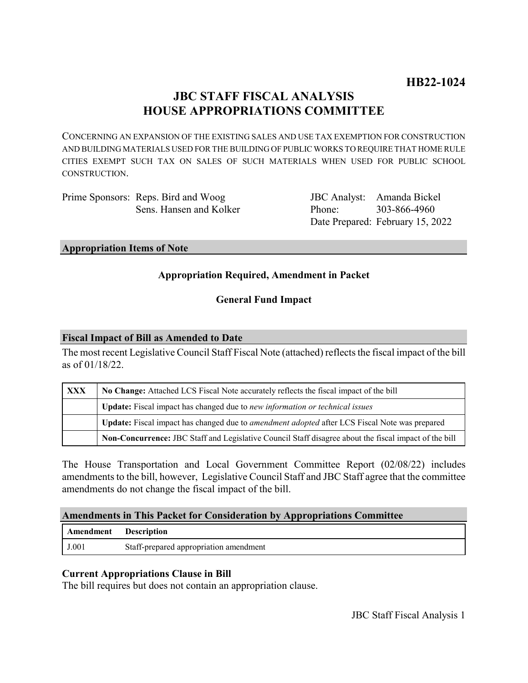## **JBC STAFF FISCAL ANALYSIS HOUSE APPROPRIATIONS COMMITTEE**

CONCERNING AN EXPANSION OF THE EXISTING SALES AND USE TAX EXEMPTION FOR CONSTRUCTION AND BUILDING MATERIALS USED FOR THE BUILDING OF PUBLIC WORKS TO REQUIRE THAT HOME RULE CITIES EXEMPT SUCH TAX ON SALES OF SUCH MATERIALS WHEN USED FOR PUBLIC SCHOOL CONSTRUCTION.

| Prime Sponsors: Reps. Bird and Woog |
|-------------------------------------|
| Sens. Hansen and Kolker             |

JBC Analyst: Amanda Bickel Phone: Date Prepared: February 15, 2022 303-866-4960

#### **Appropriation Items of Note**

### **Appropriation Required, Amendment in Packet**

### **General Fund Impact**

## **Fiscal Impact of Bill as Amended to Date**

The most recent Legislative Council Staff Fiscal Note (attached) reflects the fiscal impact of the bill as of 01/18/22.

| <b>XXX</b> | No Change: Attached LCS Fiscal Note accurately reflects the fiscal impact of the bill                 |  |
|------------|-------------------------------------------------------------------------------------------------------|--|
|            | Update: Fiscal impact has changed due to new information or technical issues                          |  |
|            | Update: Fiscal impact has changed due to <i>amendment adopted</i> after LCS Fiscal Note was prepared  |  |
|            | Non-Concurrence: JBC Staff and Legislative Council Staff disagree about the fiscal impact of the bill |  |

The House Transportation and Local Government Committee Report (02/08/22) includes amendments to the bill, however, Legislative Council Staff and JBC Staff agree that the committee amendments do not change the fiscal impact of the bill.

#### **Amendments in This Packet for Consideration by Appropriations Committee**

| <b>Amendment</b> Description |                                        |
|------------------------------|----------------------------------------|
| J.001                        | Staff-prepared appropriation amendment |

#### **Current Appropriations Clause in Bill**

The bill requires but does not contain an appropriation clause.